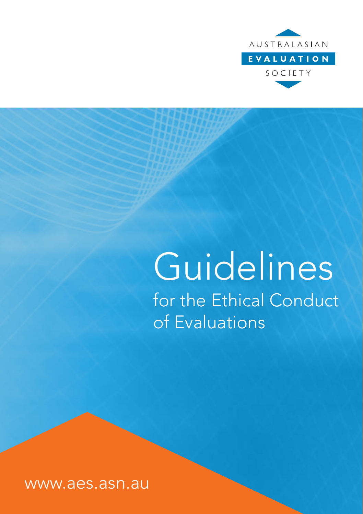

# Guidelines for the Ethical Conduct of Evaluations

www.aes.asn.au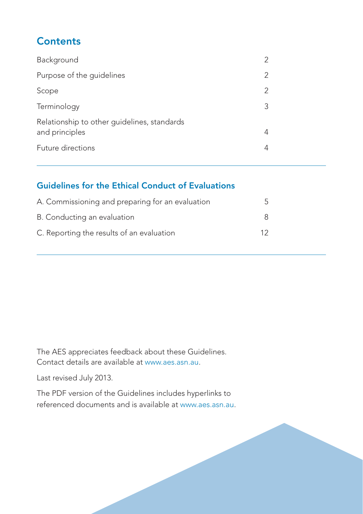### **Contents**

| Background                                                    |   |
|---------------------------------------------------------------|---|
| Purpose of the guidelines                                     |   |
| Scope                                                         | 2 |
| Terminology                                                   | 3 |
| Relationship to other guidelines, standards<br>and principles |   |
| Future directions                                             |   |

#### Guidelines for the Ethical Conduct of Evaluations

| A. Commissioning and preparing for an evaluation |    |
|--------------------------------------------------|----|
| B. Conducting an evaluation                      |    |
| C. Reporting the results of an evaluation        | 12 |

The AES appreciates feedback about these Guidelines. Contact details are available at www.aes.asn.au.

Last revised July 2013.

The PDF version of the Guidelines includes hyperlinks to referenced documents and is available at www.aes.asn.au.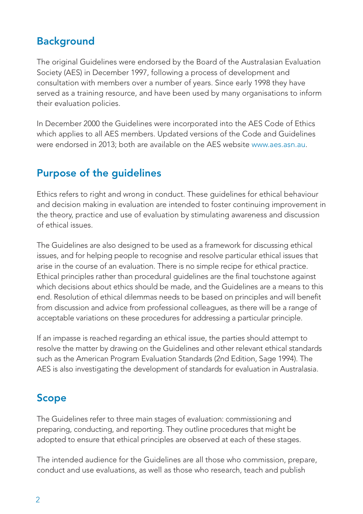### **Background**

The original Guidelines were endorsed by the Board of the Australasian Evaluation Society (AES) in December 1997, following a process of development and consultation with members over a number of years. Since early 1998 they have served as a training resource, and have been used by many organisations to inform their evaluation policies.

In December 2000 the Guidelines were incorporated into the AES Code of Ethics which applies to all AES members. Updated versions of the Code and Guidelines were endorsed in 2013; both are available on the AES website www.aes.asn.au.

# Purpose of the guidelines

Ethics refers to right and wrong in conduct. These guidelines for ethical behaviour and decision making in evaluation are intended to foster continuing improvement in the theory, practice and use of evaluation by stimulating awareness and discussion of ethical issues.

The Guidelines are also designed to be used as a framework for discussing ethical issues, and for helping people to recognise and resolve particular ethical issues that arise in the course of an evaluation. There is no simple recipe for ethical practice. Ethical principles rather than procedural guidelines are the final touchstone against which decisions about ethics should be made, and the Guidelines are a means to this end. Resolution of ethical dilemmas needs to be based on principles and will benefit from discussion and advice from professional colleagues, as there will be a range of acceptable variations on these procedures for addressing a particular principle.

If an impasse is reached regarding an ethical issue, the parties should attempt to resolve the matter by drawing on the Guidelines and other relevant ethical standards such as the American Program Evaluation Standards (2nd Edition, Sage 1994). The AES is also investigating the development of standards for evaluation in Australasia.

## Scope

The Guidelines refer to three main stages of evaluation: commissioning and preparing, conducting, and reporting. They outline procedures that might be adopted to ensure that ethical principles are observed at each of these stages.

The intended audience for the Guidelines are all those who commission, prepare, conduct and use evaluations, as well as those who research, teach and publish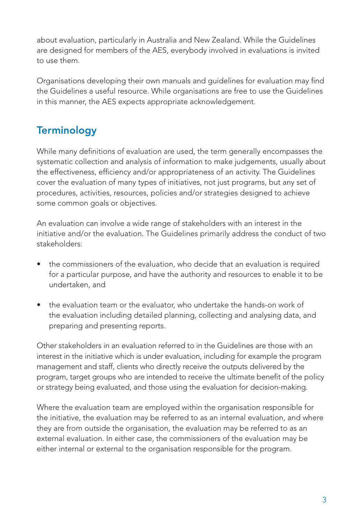about evaluation, particularly in Australia and New Zealand. While the Guidelines are designed for members of the AES, everybody involved in evaluations is invited to use them.

Organisations developing their own manuals and guidelines for evaluation may find the Guidelines a useful resource. While organisations are free to use the Guidelines in this manner, the AES expects appropriate acknowledgement.

# **Terminology**

While many definitions of evaluation are used, the term generally encompasses the systematic collection and analysis of information to make judgements, usually about the effectiveness, efficiency and/or appropriateness of an activity. The Guidelines cover the evaluation of many types of initiatives, not just programs, but any set of procedures, activities, resources, policies and/or strategies designed to achieve some common goals or objectives.

An evaluation can involve a wide range of stakeholders with an interest in the initiative and/or the evaluation. The Guidelines primarily address the conduct of two stakeholders:

- the commissioners of the evaluation, who decide that an evaluation is required for a particular purpose, and have the authority and resources to enable it to be undertaken, and
- the evaluation team or the evaluator, who undertake the hands-on work of the evaluation including detailed planning, collecting and analysing data, and preparing and presenting reports.

Other stakeholders in an evaluation referred to in the Guidelines are those with an interest in the initiative which is under evaluation, including for example the program management and staff, clients who directly receive the outputs delivered by the program, target groups who are intended to receive the ultimate benefit of the policy or strategy being evaluated, and those using the evaluation for decision-making.

Where the evaluation team are employed within the organisation responsible for the initiative, the evaluation may be referred to as an internal evaluation, and where they are from outside the organisation, the evaluation may be referred to as an external evaluation. In either case, the commissioners of the evaluation may be either internal or external to the organisation responsible for the program.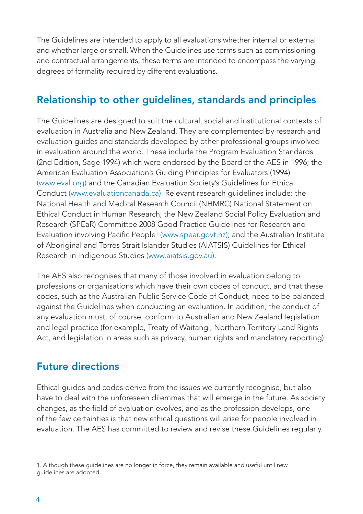The Guidelines are intended to apply to all evaluations whether internal or external and whether large or small. When the Guidelines use terms such as commissioning and contractual arrangements, these terms are intended to encompass the varying degrees of formality required by different evaluations.

#### Relationship to other guidelines, standards and principles

The Guidelines are designed to suit the cultural, social and institutional contexts of evaluation in Australia and New Zealand. They are complemented by research and evaluation guides and standards developed by other professional groups involved in evaluation around the world. These include the Program Evaluation Standards (2nd Edition, Sage 1994) which were endorsed by the Board of the AES in 1996; the American Evaluation Association's Guiding Principles for Evaluators (1994) [\(www.eval.org\) a](http://www.eval.org/p/cm/ld/fid=51)nd the Canadian Evaluation Society's Guidelines for Ethical Condu[ct \(www.evaluationcanada.ca\).](http://www.evaluationcanada.ca/site.cgi?s=5&ss=4&_lang=en) Relevant research guidelines include: the National Health and Medical Research Council (NHMRC) National Statement on Ethical Conduct in Human Research; the New Zealand Social Policy Evaluation and Research (SPEaR) Committee 2008 Good Practice Guidelines for Research and Evaluation involving Pacific People<sup>1</sup> [\(www.spear.govt.nz\);](http://www.spear.govt.nz/good-practice/overview/research-areas/pacific-people.html) and the Australian Institute of Aboriginal and Torres Strait Islander Studies (AIATSIS) Guidelines for Ethical Research in Indigenous Studies [\(www.aiatsis.gov.au\).](http://www.aiatsis.gov.au/research/docs/ethics.pdf)

The AES also recognises that many of those involved in evaluation belong to professions or organisations which have their own codes of conduct, and that these codes, such as the Australian Public Service Code of Conduct, need to be balanced against the Guidelines when conducting an evaluation. In addition, the conduct of any evaluation must, of course, conform to Australian and New Zealand legislation and legal practice (for example, Treaty of Waitangi, Northern Territory Land Rights Act, and legislation in areas such as privacy, human rights and mandatory reporting).

#### Future directions

Ethical guides and codes derive from the issues we currently recognise, but also have to deal with the unforeseen dilemmas that will emerge in the future. As society changes, as the field of evaluation evolves, and as the profession develops, one of the few certainties is that new ethical questions will arise for people involved in evaluation. The AES has committed to review and revise these Guidelines regularly.

1. Although these guidelines are no longer in force, they remain available and useful until new guidelines are adopted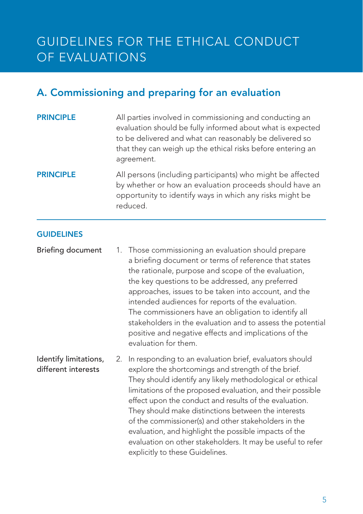# GUIDELINES FOR THE ETHICAL CONDUCT OF EVALUATIONS

### A. Commissioning and preparing for an evaluation

**PRINCIPLE** All parties involved in commissioning and conducting an evaluation should be fully informed about what is expected to be delivered and what can reasonably be delivered so that they can weigh up the ethical risks before entering an agreement.

#### **PRINCIPLE** All persons (including participants) who might be affected by whether or how an evaluation proceeds should have an opportunity to identify ways in which any risks might be reduced.

#### **GUIDELINES**

Briefing document 1. Those commissioning an evaluation should prepare a briefing document or terms of reference that states the rationale, purpose and scope of the evaluation, the key questions to be addressed, any preferred approaches, issues to be taken into account, and the intended audiences for reports of the evaluation. The commissioners have an obligation to identify all stakeholders in the evaluation and to assess the potential positive and negative effects and implications of the evaluation for them.

Identify limitations, different interests 2. In responding to an evaluation brief, evaluators should explore the shortcomings and strength of the brief. They should identify any likely methodological or ethical limitations of the proposed evaluation, and their possible effect upon the conduct and results of the evaluation. They should make distinctions between the interests of the commissioner(s) and other stakeholders in the evaluation, and highlight the possible impacts of the evaluation on other stakeholders. It may be useful to refer explicitly to these Guidelines.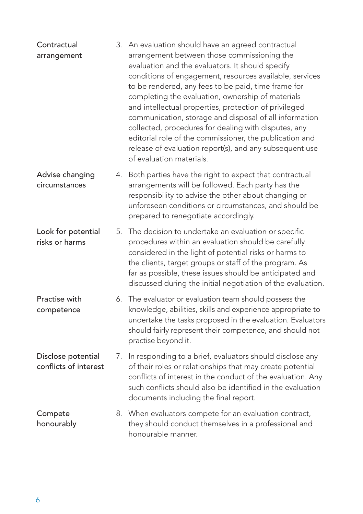| Contractual<br>arrangement                  |    | 3. An evaluation should have an agreed contractual<br>arrangement between those commissioning the<br>evaluation and the evaluators. It should specify<br>conditions of engagement, resources available, services<br>to be rendered, any fees to be paid, time frame for<br>completing the evaluation, ownership of materials<br>and intellectual properties, protection of privileged<br>communication, storage and disposal of all information<br>collected, procedures for dealing with disputes, any<br>editorial role of the commissioner, the publication and<br>release of evaluation report(s), and any subsequent use<br>of evaluation materials. |
|---------------------------------------------|----|-----------------------------------------------------------------------------------------------------------------------------------------------------------------------------------------------------------------------------------------------------------------------------------------------------------------------------------------------------------------------------------------------------------------------------------------------------------------------------------------------------------------------------------------------------------------------------------------------------------------------------------------------------------|
| Advise changing<br>circumstances            | 4. | Both parties have the right to expect that contractual<br>arrangements will be followed. Each party has the<br>responsibility to advise the other about changing or<br>unforeseen conditions or circumstances, and should be<br>prepared to renegotiate accordingly.                                                                                                                                                                                                                                                                                                                                                                                      |
| Look for potential<br>risks or harms        | 5. | The decision to undertake an evaluation or specific<br>procedures within an evaluation should be carefully<br>considered in the light of potential risks or harms to<br>the clients, target groups or staff of the program. As<br>far as possible, these issues should be anticipated and<br>discussed during the initial negotiation of the evaluation.                                                                                                                                                                                                                                                                                                  |
| Practise with<br>competence                 |    | 6. The evaluator or evaluation team should possess the<br>knowledge, abilities, skills and experience appropriate to<br>undertake the tasks proposed in the evaluation. Evaluators<br>should fairly represent their competence, and should not<br>practise beyond it.                                                                                                                                                                                                                                                                                                                                                                                     |
| Disclose potential<br>conflicts of interest | 7. | In responding to a brief, evaluators should disclose any<br>of their roles or relationships that may create potential<br>conflicts of interest in the conduct of the evaluation. Any<br>such conflicts should also be identified in the evaluation<br>documents including the final report.                                                                                                                                                                                                                                                                                                                                                               |
| Compete<br>honourably                       |    | 8. When evaluators compete for an evaluation contract,<br>they should conduct themselves in a professional and<br>honourable manner.                                                                                                                                                                                                                                                                                                                                                                                                                                                                                                                      |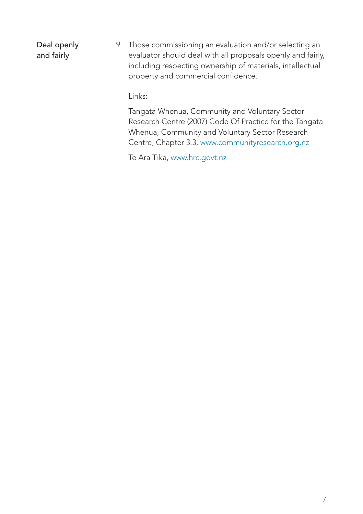Deal openly and fairly 9. Those commissioning an evaluation and/or selecting an evaluator should deal with all proposals openly and fairly, including respecting ownership of materials, intellectual property and commercial confidence.

Links:

Tangata Whenua, Community and Voluntary Sector Research Centre (2007) Code Of Practice for the Tangata Whenua, Community and Voluntary Sector Research Centre, Chapter 3[.3, www.communityresearch.org.nz](http://www.communityresearch.org.nz/wp-content/uploads/2011/01/COP-v2.1.pdf)

Te Ara Tik[a, www.hrc.govt.nz](http://www.hrc.govt.nz/sites/default/files/Te%20Ara%20Tika%20Guidelines%20for%20Maori%20Research%20Ethics.pdf)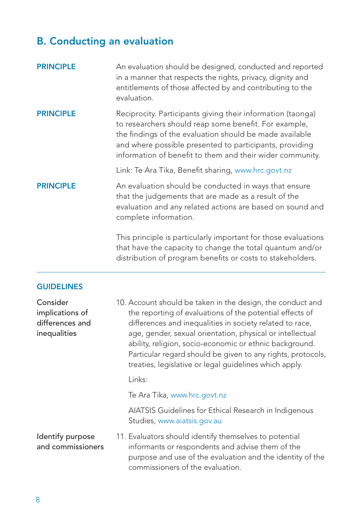#### B. Conducting an evaluation

| <b>PRINCIPLE</b>                                               | An evaluation should be designed, conducted and reported<br>in a manner that respects the rights, privacy, dignity and<br>entitlements of those affected by and contributing to the<br>evaluation.                                                                                                                                                                                                                                  |  |  |  |  |
|----------------------------------------------------------------|-------------------------------------------------------------------------------------------------------------------------------------------------------------------------------------------------------------------------------------------------------------------------------------------------------------------------------------------------------------------------------------------------------------------------------------|--|--|--|--|
| <b>PRINCIPLE</b>                                               | Reciprocity. Participants giving their information (taonga)<br>to researchers should reap some benefit. For example,<br>the findings of the evaluation should be made available<br>and where possible presented to participants, providing<br>information of benefit to them and their wider community.                                                                                                                             |  |  |  |  |
|                                                                | Link: Te Ara Tika, Benefit sharing, www.hrc.govt.nz                                                                                                                                                                                                                                                                                                                                                                                 |  |  |  |  |
| <b>PRINCIPLE</b>                                               | An evaluation should be conducted in ways that ensure<br>that the judgements that are made as a result of the<br>evaluation and any related actions are based on sound and<br>complete information.                                                                                                                                                                                                                                 |  |  |  |  |
|                                                                | This principle is particularly important for those evaluations<br>that have the capacity to change the total quantum and/or<br>distribution of program benefits or costs to stakeholders.                                                                                                                                                                                                                                           |  |  |  |  |
| <b>GUIDELINES</b>                                              |                                                                                                                                                                                                                                                                                                                                                                                                                                     |  |  |  |  |
| Consider<br>implications of<br>differences and<br>inequalities | 10. Account should be taken in the design, the conduct and<br>the reporting of evaluations of the potential effects of<br>differences and inequalities in society related to race,<br>age, gender, sexual orientation, physical or intellectual<br>ability, religion, socio-economic or ethnic background.<br>Particular regard should be given to any rights, protocols,<br>treaties, legislative or legal guidelines which apply. |  |  |  |  |
|                                                                | Links:                                                                                                                                                                                                                                                                                                                                                                                                                              |  |  |  |  |
|                                                                | Te Ara Tika, www.hrc.govt.nz                                                                                                                                                                                                                                                                                                                                                                                                        |  |  |  |  |
|                                                                |                                                                                                                                                                                                                                                                                                                                                                                                                                     |  |  |  |  |

AIATSIS Guidelines for Ethical Research in Indigenous Studie[s, www.aiatsis.gov.au](http://www.aiatsis.gov.au/research/docs/ethics.pdf) 

Identify purpose and commissioners 11. Evaluators should identify themselves to potential informants or respondents and advise them of the purpose and use of the evaluation and the identity of the commissioners of the evaluation.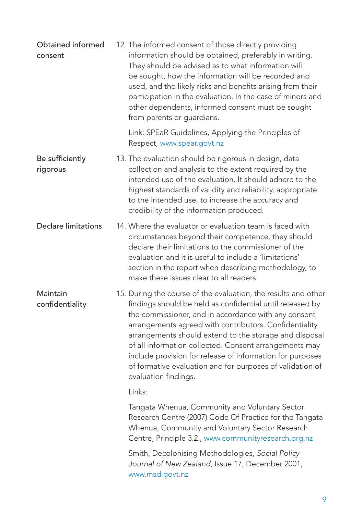| Obtained informed<br>consent |                      | 12. The informed consent of those directly providing<br>information should be obtained, preferably in writing.<br>They should be advised as to what information will<br>be sought, how the information will be recorded and<br>used, and the likely risks and benefits arising from their<br>participation in the evaluation. In the case of minors and<br>other dependents, informed consent must be sought<br>from parents or guardians.                                                  |
|------------------------------|----------------------|---------------------------------------------------------------------------------------------------------------------------------------------------------------------------------------------------------------------------------------------------------------------------------------------------------------------------------------------------------------------------------------------------------------------------------------------------------------------------------------------|
|                              |                      | Link: SPEaR Guidelines, Applying the Principles of<br>Respect, www.spear.govt.nz                                                                                                                                                                                                                                                                                                                                                                                                            |
| Be sufficiently<br>rigorous  |                      | 13. The evaluation should be rigorous in design, data<br>collection and analysis to the extent required by the<br>intended use of the evaluation. It should adhere to the<br>highest standards of validity and reliability, appropriate<br>to the intended use, to increase the accuracy and<br>credibility of the information produced.                                                                                                                                                    |
| Declare limitations          |                      | 14. Where the evaluator or evaluation team is faced with<br>circumstances beyond their competence, they should<br>declare their limitations to the commissioner of the<br>evaluation and it is useful to include a 'limitations'<br>section in the report when describing methodology, to<br>make these issues clear to all readers.                                                                                                                                                        |
| Maintain<br>confidentiality  | evaluation findings. | 15. During the course of the evaluation, the results and other<br>findings should be held as confidential until released by<br>the commissioner, and in accordance with any consent<br>arrangements agreed with contributors. Confidentiality<br>arrangements should extend to the storage and disposal<br>of all information collected. Consent arrangements may<br>include provision for release of information for purposes<br>of formative evaluation and for purposes of validation of |
|                              | Links:               |                                                                                                                                                                                                                                                                                                                                                                                                                                                                                             |
|                              |                      | Tangata Whenua, Community and Voluntary Sector<br>Research Centre (2007) Code Of Practice for the Tangata<br>Whenua, Community and Voluntary Sector Research<br>Centre, Principle 3.2., www.communityresearch.org.nz                                                                                                                                                                                                                                                                        |
|                              | www.msd.govt.nz      | Smith, Decolonising Methodologies, Social Policy<br>Journal of New Zealand, Issue 17, December 2001,                                                                                                                                                                                                                                                                                                                                                                                        |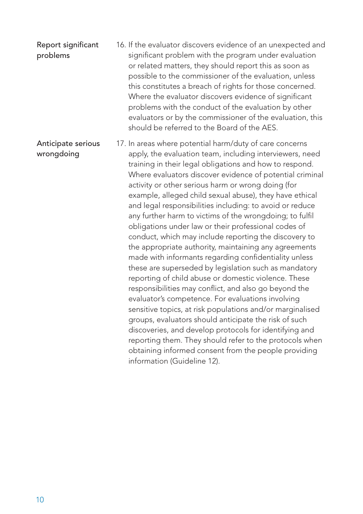#### Report significant problems 16. If the evaluator discovers evidence of an unexpected and significant problem with the program under evaluation or related matters, they should report this as soon as possible to the commissioner of the evaluation, unless this constitutes a breach of rights for those concerned. Where the evaluator discovers evidence of significant problems with the conduct of the evaluation by other evaluators or by the commissioner of the evaluation, this should be referred to the Board of the AES.

Anticipate serious wrongdoing 17. In areas where potential harm/duty of care concerns apply, the evaluation team, including interviewers, need training in their legal obligations and how to respond. Where evaluators discover evidence of potential criminal activity or other serious harm or wrong doing (for example, alleged child sexual abuse), they have ethical and legal responsibilities including: to avoid or reduce any further harm to victims of the wrongdoing; to fulfil obligations under law or their professional codes of conduct, which may include reporting the discovery to the appropriate authority, maintaining any agreements made with informants regarding confidentiality unless these are superseded by legislation such as mandatory reporting of child abuse or domestic violence. These responsibilities may conflict, and also go beyond the evaluator's competence. For evaluations involving sensitive topics, at risk populations and/or marginalised groups, evaluators should anticipate the risk of such discoveries, and develop protocols for identifying and reporting them. They should refer to the protocols when obtaining informed consent from the people providing information (Guideline 12).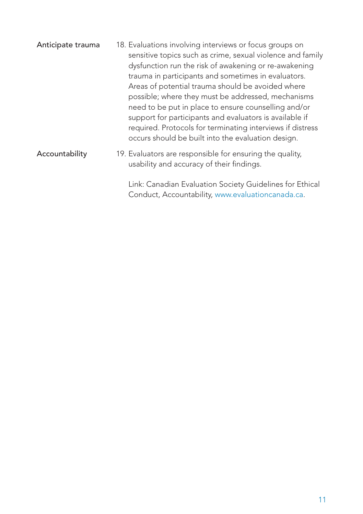| Anticipate trauma | 18. Evaluations involving interviews or focus groups on<br>sensitive topics such as crime, sexual violence and family<br>dysfunction run the risk of awakening or re-awakening<br>trauma in participants and sometimes in evaluators.<br>Areas of potential trauma should be avoided where<br>possible; where they must be addressed, mechanisms<br>need to be put in place to ensure counselling and/or<br>support for participants and evaluators is available if<br>required. Protocols for terminating interviews if distress<br>occurs should be built into the evaluation design. |
|-------------------|-----------------------------------------------------------------------------------------------------------------------------------------------------------------------------------------------------------------------------------------------------------------------------------------------------------------------------------------------------------------------------------------------------------------------------------------------------------------------------------------------------------------------------------------------------------------------------------------|
| Accountability    | 19. Evaluators are responsible for ensuring the quality,<br>usability and accuracy of their findings.                                                                                                                                                                                                                                                                                                                                                                                                                                                                                   |

Link: Canadian Evaluation Society Guidelines for Ethical Conduct, Accountabil[ity, www.evaluationcanada.ca.](http://www.evaluationcanada.ca/site.cgi?section=5&ssection=4&_lang=an)